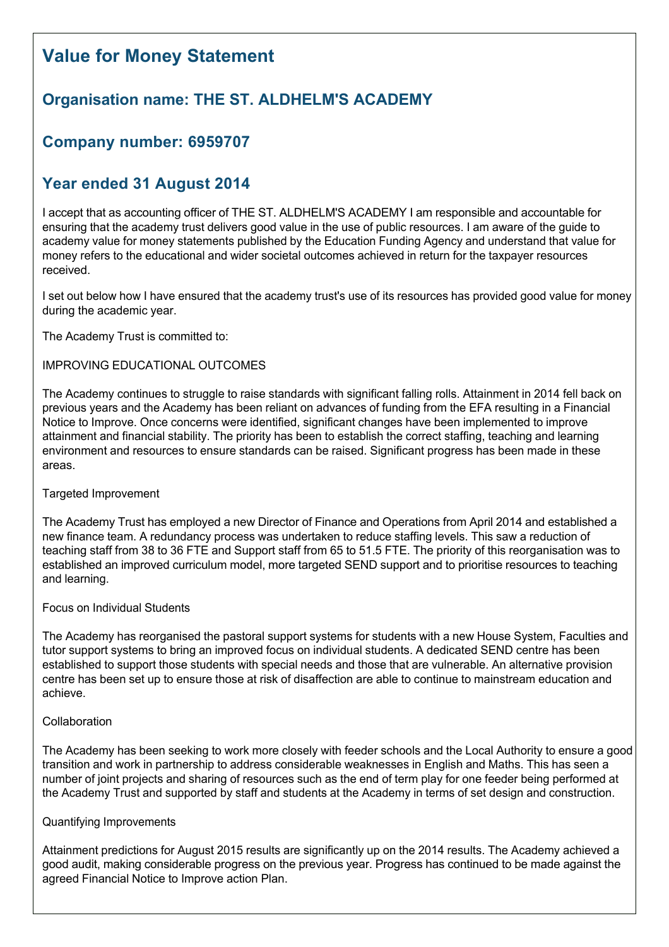# **Value for Money Statement**

# **Organisation name: THE ST. ALDHELM'S ACADEMY**

### **Company number: 6959707**

## **Year ended 31 August 2014**

I accept that as accounting officer of THE ST. ALDHELM'S ACADEMY I am responsible and accountable for ensuring that the academy trust delivers good value in the use of public resources. I am aware of the guide to academy value for money statements published by the Education Funding Agency and understand that value for money refers to the educational and wider societal outcomes achieved in return for the taxpayer resources received.

I set out below how I have ensured that the academy trust's use of its resources has provided good value for money during the academic year.

The Academy Trust is committed to:

#### IMPROVING EDUCATIONAL OUTCOMES

The Academy continues to struggle to raise standards with significant falling rolls. Attainment in 2014 fell back on previous years and the Academy has been reliant on advances of funding from the EFA resulting in a Financial Notice to Improve. Once concerns were identified, significant changes have been implemented to improve attainment and financial stability. The priority has been to establish the correct staffing, teaching and learning environment and resources to ensure standards can be raised. Significant progress has been made in these areas.

#### Targeted Improvement

The Academy Trust has employed a new Director of Finance and Operations from April 2014 and established a new finance team. A redundancy process was undertaken to reduce staffing levels. This saw a reduction of teaching staff from 38 to 36 FTE and Support staff from 65 to 51.5 FTE. The priority of this reorganisation was to established an improved curriculum model, more targeted SEND support and to prioritise resources to teaching and learning.

#### Focus on Individual Students

The Academy has reorganised the pastoral support systems for students with a new House System, Faculties and tutor support systems to bring an improved focus on individual students. A dedicated SEND centre has been established to support those students with special needs and those that are vulnerable. An alternative provision centre has been set up to ensure those at risk of disaffection are able to continue to mainstream education and achieve.

#### Collaboration

The Academy has been seeking to work more closely with feeder schools and the Local Authority to ensure a good transition and work in partnership to address considerable weaknesses in English and Maths. This has seen a number of joint projects and sharing of resources such as the end of term play for one feeder being performed at the Academy Trust and supported by staff and students at the Academy in terms of set design and construction.

#### Quantifying Improvements

Attainment predictions for August 2015 results are significantly up on the 2014 results. The Academy achieved a good audit, making considerable progress on the previous year. Progress has continued to be made against the agreed Financial Notice to Improve action Plan.